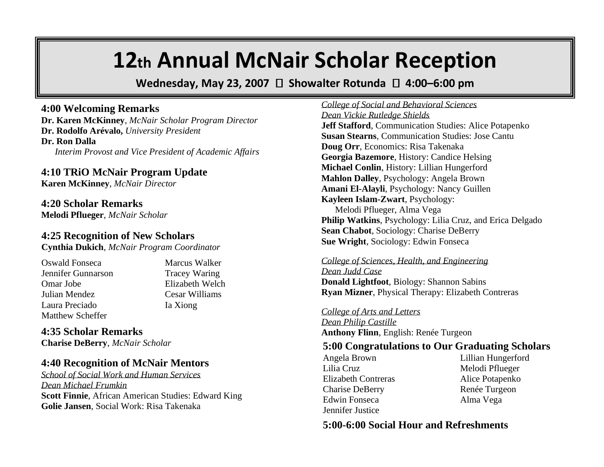# **12th Annual McNair Scholar Reception**

**Wednesday, May 23, 2007** □ Showalter Rotunda □ 4:00–6:00 pm

### **4:00 Welcoming Remarks**

**Dr. Karen McKinney**, *McNair Scholar Program Director* **Dr. Rodolfo Arévalo,** *University President* **Dr. Ron Dalla** *Interim Provost and Vice President of Academic Affairs*

## **4:10 TRiO McNair Program Update**

**Karen McKinney**, *McNair Director*

**4:20 Scholar Remarks Melodi Pflueger**, *McNair Scholar*

## **4:25 Recognition of New Scholars**

**Cynthia Dukich**, *McNair Program Coordinator*

Oswald Fonseca Marcus Walker Jennifer Gunnarson Tracey Waring Omar Jobe Elizabeth Welch Julian Mendez Cesar Williams Laura Preciado Ia Xiong Matthew Scheffer

**4:35 Scholar Remarks Charise DeBerry**, *McNair Scholar*

## **4:40 Recognition of McNair Mentors**

*School of Social Work and Human Services Dean Michael Frumkin* **Scott Finnie**, African American Studies: Edward King **Golie Jansen**, Social Work: Risa Takenaka

*College of Social and Behavioral Sciences Dean Vickie Rutledge Shields* **Jeff Stafford**, Communication Studies: Alice Potapenko **Susan Stearns**, Communication Studies: Jose Cantu **Doug Orr**, Economics: Risa Takenaka **Georgia Bazemore**, History: Candice Helsing **Michael Conlin**, History: Lillian Hungerford **Mahlon Dalley**, Psychology: Angela Brown **Amani El-Alayli**, Psychology: Nancy Guillen **Kayleen Islam-Zwart**, Psychology: Melodi Pflueger, Alma Vega **Philip Watkins**, Psychology: Lilia Cruz, and Erica Delgado **Sean Chabot**, Sociology: Charise DeBerry **Sue Wright**, Sociology: Edwin Fonseca

#### *College of Sciences, Health, and Engineering*

*Dean Judd Case* **Donald Lightfoot**, Biology: Shannon Sabins **Ryan Mizner**, Physical Therapy: Elizabeth Contreras

#### *College of Arts and Letters*

*Dean Philip Castille* **Anthony Flinn**, English: Renée Turgeon

## **5:00 Congratulations to Our Graduating Scholars**

Angela Brown Lillian Hungerford Lilia Cruz Melodi Pflueger Elizabeth Contreras Alice Potapenko Charise DeBerry Renée Turgeon Edwin Fonseca Alma Vega Jennifer Justice

## **5:00-6:00 Social Hour and Refreshments**